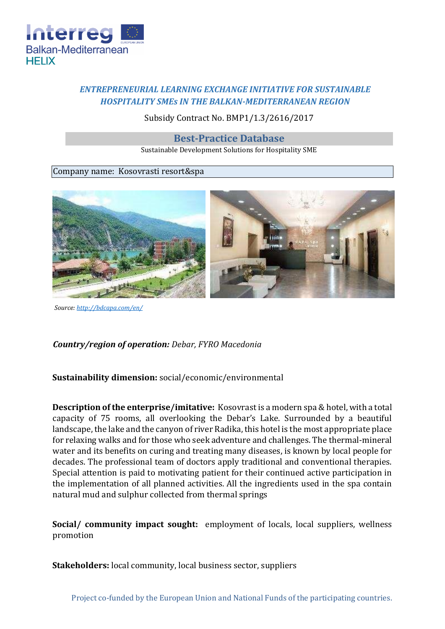

# *ENTREPRENEURIAL LEARNING EXCHANGE INITIATIVE FOR SUSTAINABLE HOSPITALITY SMEs IN THE BALKAN-MEDITERRANEAN REGION*

### Subsidy Contract No. BMP1/1.3/2616/2017

## **Best-Practice Database**

Sustainable Development Solutions for Hospitality SME

#### Company name: Kosovrasti resort&spa



*Sourc[e: http://bdcapa.com/en/](http://bdcapa.com/en/)*

*Country/region of operation: Debar, FYRO Macedonia*

#### **Sustainability dimension:** social/economic/environmental

**Description of the enterprise/imitative:** Kosovrast is a modern spa & hotel, with a total capacity of 75 rooms, all overlooking the Debar's Lake. Surrounded by a beautiful landscape, the lake and the canyon of river Radika, this hotel is the most appropriate place for relaxing walks and for those who seek adventure and challenges. The thermal-mineral water and its benefits on curing and treating many diseases, is known by local people for decades. The professional team of doctors apply traditional and conventional therapies. Special attention is paid to motivating patient for their continued active participation in the implementation of all planned activities. All the ingredients used in the spa contain natural mud and sulphur collected from thermal springs

**Social/ community impact sought:** employment of locals, local suppliers, wellness promotion

**Stakeholders:** local community, local business sector, suppliers

Project co-funded by the European Union and National Funds of the participating countries.